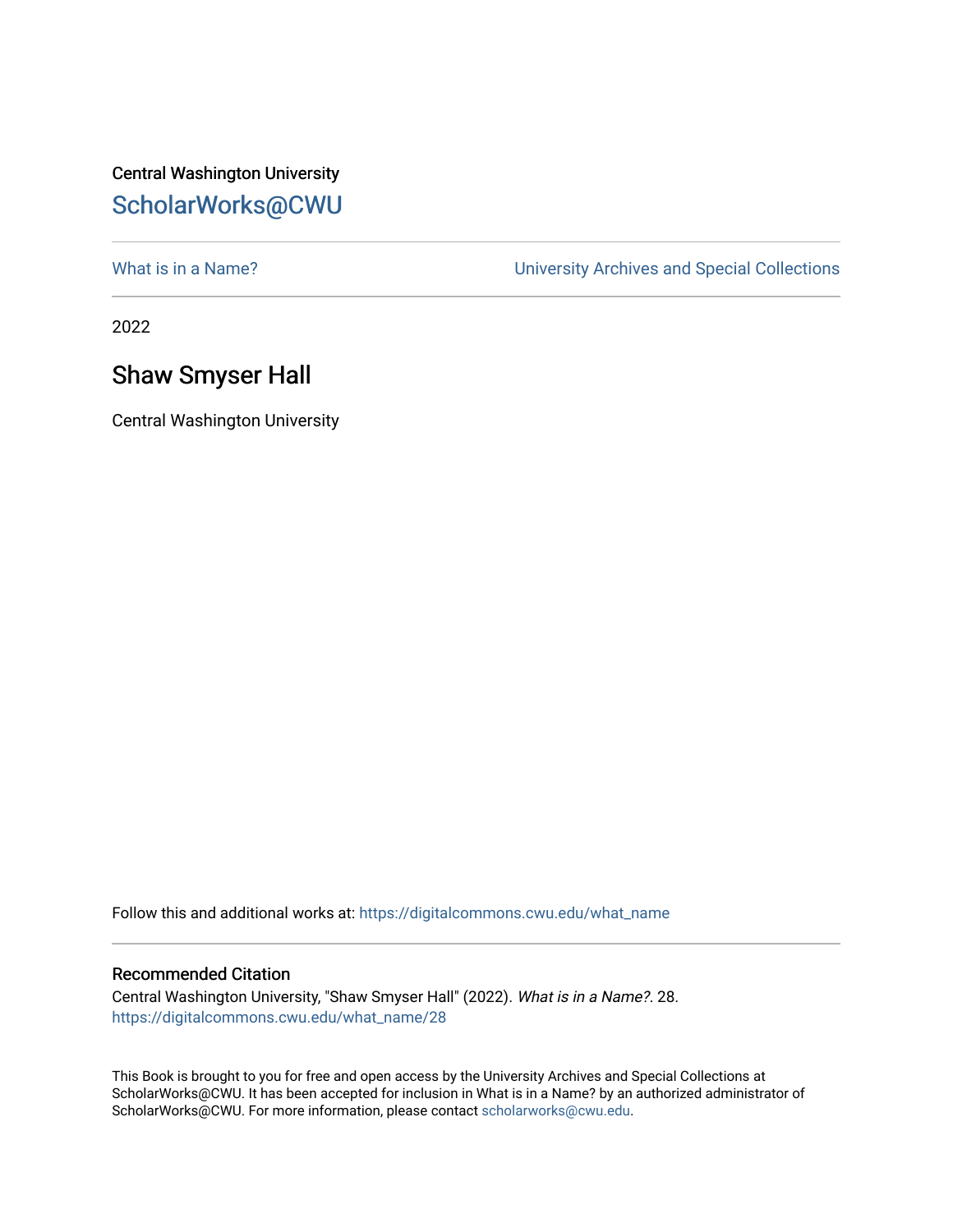## Central Washington University [ScholarWorks@CWU](https://digitalcommons.cwu.edu/)

What is in a Name?<br>
University Archives and Special Collections

2022

## Shaw Smyser Hall

Central Washington University

Follow this and additional works at: [https://digitalcommons.cwu.edu/what\\_name](https://digitalcommons.cwu.edu/what_name?utm_source=digitalcommons.cwu.edu%2Fwhat_name%2F28&utm_medium=PDF&utm_campaign=PDFCoverPages) 

## Recommended Citation

Central Washington University, "Shaw Smyser Hall" (2022). What is in a Name?. 28. [https://digitalcommons.cwu.edu/what\\_name/28](https://digitalcommons.cwu.edu/what_name/28?utm_source=digitalcommons.cwu.edu%2Fwhat_name%2F28&utm_medium=PDF&utm_campaign=PDFCoverPages) 

This Book is brought to you for free and open access by the University Archives and Special Collections at ScholarWorks@CWU. It has been accepted for inclusion in What is in a Name? by an authorized administrator of ScholarWorks@CWU. For more information, please contact [scholarworks@cwu.edu](mailto:scholarworks@cwu.edu).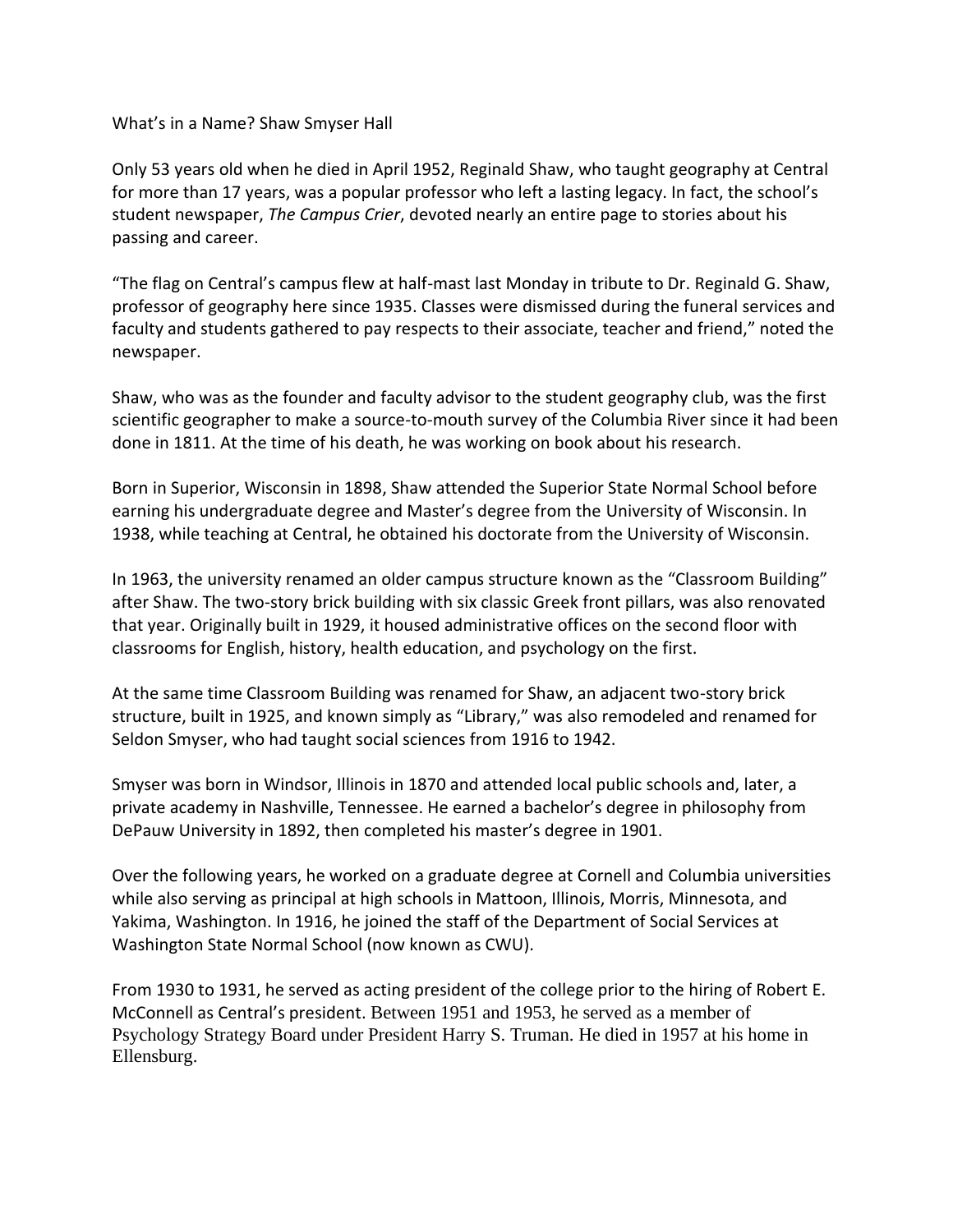What's in a Name? Shaw Smyser Hall

Only 53 years old when he died in April 1952, Reginald Shaw, who taught geography at Central for more than 17 years, was a popular professor who left a lasting legacy. In fact, the school's student newspaper, *The Campus Crier*, devoted nearly an entire page to stories about his passing and career.

"The flag on Central's campus flew at half-mast last Monday in tribute to Dr. Reginald G. Shaw, professor of geography here since 1935. Classes were dismissed during the funeral services and faculty and students gathered to pay respects to their associate, teacher and friend," noted the newspaper.

Shaw, who was as the founder and faculty advisor to the student geography club, was the first scientific geographer to make a source-to-mouth survey of the Columbia River since it had been done in 1811. At the time of his death, he was working on book about his research.

Born in Superior, Wisconsin in 1898, Shaw attended the Superior State Normal School before earning his undergraduate degree and Master's degree from the University of Wisconsin. In 1938, while teaching at Central, he obtained his doctorate from the University of Wisconsin.

In 1963, the university renamed an older campus structure known as the "Classroom Building" after Shaw. The two-story brick building with six classic Greek front pillars, was also renovated that year. Originally built in 1929, it housed administrative offices on the second floor with classrooms for English, history, health education, and psychology on the first.

At the same time Classroom Building was renamed for Shaw, an adjacent two-story brick structure, built in 1925, and known simply as "Library," was also remodeled and renamed for Seldon Smyser, who had taught social sciences from 1916 to 1942.

Smyser was born in Windsor, Illinois in 1870 and attended local public schools and, later, a private academy in Nashville, Tennessee. He earned a bachelor's degree in philosophy from DePauw University in 1892, then completed his master's degree in 1901.

Over the following years, he worked on a graduate degree at Cornell and Columbia universities while also serving as principal at high schools in Mattoon, Illinois, Morris, Minnesota, and Yakima, Washington. In 1916, he joined the staff of the Department of Social Services at Washington State Normal School (now known as CWU).

From 1930 to 1931, he served as acting president of the college prior to the hiring of Robert E. McConnell as Central's president. Between 1951 and 1953, he served as a member of Psychology Strategy Board under President Harry S. Truman. He died in 1957 at his home in Ellensburg.